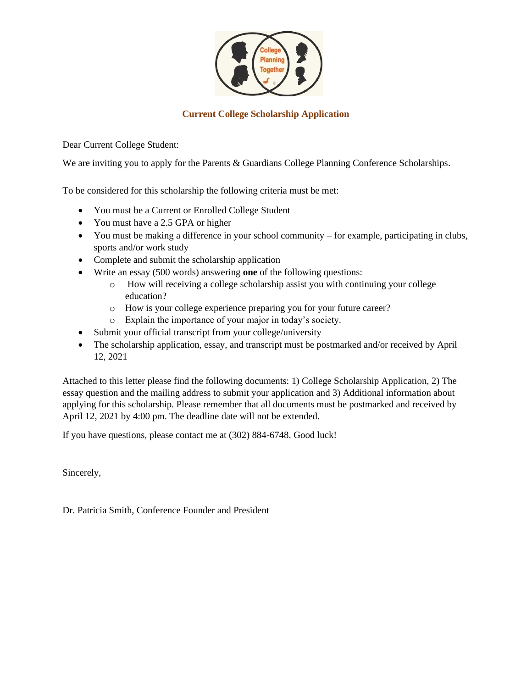

## **Current College Scholarship Application**

Dear Current College Student:

We are inviting you to apply for the Parents & Guardians College Planning Conference Scholarships.

To be considered for this scholarship the following criteria must be met:

- You must be a Current or Enrolled College Student
- You must have a 2.5 GPA or higher
- You must be making a difference in your school community for example, participating in clubs, sports and/or work study
- Complete and submit the scholarship application
- Write an essay (500 words) answering **one** of the following questions:
	- $\circ$  How will receiving a college scholarship assist you with continuing your college education?
	- o How is your college experience preparing you for your future career?
	- o Explain the importance of your major in today's society.
- Submit your official transcript from your college/university
- The scholarship application, essay, and transcript must be postmarked and/or received by April 12, 2021

Attached to this letter please find the following documents: 1) College Scholarship Application, 2) The essay question and the mailing address to submit your application and 3) Additional information about applying for this scholarship. Please remember that all documents must be postmarked and received by April 12, 2021 by 4:00 pm. The deadline date will not be extended.

If you have questions, please contact me at (302) 884-6748. Good luck!

Sincerely,

Dr. Patricia Smith, Conference Founder and President